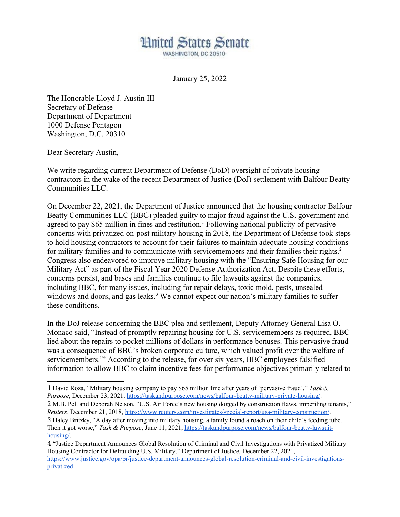

January 25, 2022

The Honorable Lloyd J. Austin III Secretary of Defense Department of Department 1000 Defense Pentagon Washington, D.C. 20310

Dear Secretary Austin,

We write regarding current Department of Defense (DoD) oversight of private housing contractors in the wake of the recent Department of Justice (DoJ) settlement with Balfour Beatty Communities LLC.

On December 22, 2021, the Department of Justice announced that the housing contractor Balfour Beatty Communities LLC (BBC) pleaded guilty to major fraud against the U.S. government and agreed to pay \$65 million in fines and restitution.<sup>1</sup> Following national publicity of pervasive concerns with privatized on-post military housing in 2018, the Department of Defense took steps to hold housing contractors to account for their failures to maintain adequate housing conditions for military families and to communicate with servicemembers and their families their rights.<sup>2</sup> Congress also endeavored to improve military housing with the "Ensuring Safe Housing for our Military Act" as part of the Fiscal Year 2020 Defense Authorization Act. Despite these efforts, concerns persist, and bases and families continue to file lawsuits against the companies, including BBC, for many issues, including for repair delays, toxic mold, pests, unsealed windows and doors, and gas leaks.<sup>3</sup> We cannot expect our nation's military families to suffer these conditions.

In the DoJ release concerning the BBC plea and settlement, Deputy Attorney General Lisa O. Monaco said, "Instead of promptly repairing housing for U.S. servicemembers as required, BBC lied about the repairs to pocket millions of dollars in performance bonuses. This pervasive fraud was a consequence of BBC's broken corporate culture, which valued profit over the welfare of servicemembers."<sup>4</sup> According to the release, for over six years, BBC employees falsified information to allow BBC to claim incentive fees for performance objectives primarily related to

<sup>1</sup> David Roza, "Military housing company to pay \$65 million fine after years of 'pervasive fraud'," *Task & Purpose*, December 23, 2021, https://taskandpurpose.com/news/balfour-beatty-military-private-housing/. 2 M.B. Pell and Deborah Nelson, "U.S. Air Force's new housing dogged by construction flaws, imperiling tenants," *Reuters*, December 21, 2018, https://www.reuters.com/investigates/special-report/usa-military-construction/. 3 Haley Britzky, "A day after moving into military housing, a family found a roach on their child's feeding tube. Then it got worse," *Task & Purpose*, June 11, 2021, https://taskandpurpose.com/news/balfour-beatty-lawsuithousing/.

<sup>4</sup> "Justice Department Announces Global Resolution of Criminal and Civil Investigations with Privatized Military Housing Contractor for Defrauding U.S. Military," Department of Justice, December 22, 2021, https://www.justice.gov/opa/pr/justice-department-announces-global-resolution-criminal-and-civil-investigationsprivatized.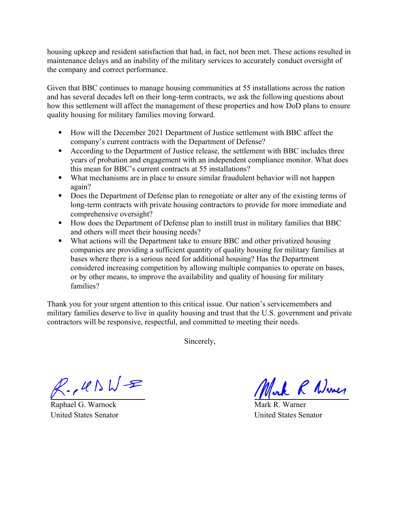housing upkeep and resident satisfaction that had, in fact, not been met. These actions resulted in maintenance delays and an inability of the military services to accurately conduct oversight of the company and correct performance.

Given that BBC continues to manage housing communities at 55 installations across the nation and has several decades left on their long-term contracts, we ask the following questions about how this settlement will affect the management of these properties and how DoD plans to ensure quality housing for military families moving forward.

- How will the December 2021 Department of Justice settlement with BBC affect the company's current contracts with the Department of Defense?
- According to the Department of Justice release, the settlement with BBC includes three years of probation and engagement with an independent compliance monitor. What does this mean for BBC's current contracts at 55 installations?
- What mechanisms are in place to ensure similar fraudulent behavior will not happen again?
- Does the Department of Defense plan to renegotiate or alter any of the existing terms of long-term contracts with private housing contractors to provide for more immediate and comprehensive oversight?
- How does the Department of Defense plan to instill trust in military families that BBC and others will meet their housing needs?
- What actions will the Department take to ensure BBC and other privatized housing companies are providing a sufficient quantity of quality housing for military families at bases where there is a serious need for additional housing? Has the Department considered increasing competition by allowing multiple companies to operate on bases, or by other means, to improve the availability and quality of housing for military families?

Thank you for your urgent attention to this critical issue. Our nation's servicemembers and military families deserve to live in quality housing and trust that the U.S. government and private contractors will be responsive, respectful, and committed to meeting their needs.

Sincerely,

 $R.145WR$ 

Raphael G. Warnock United States Senator

Mork R Numer

Mark R. Warner United States Senator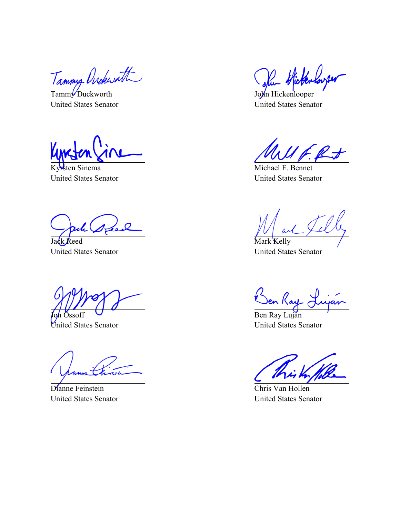Tammy Ovekwatt

United States Senator

Kyrsten Sinema United States Senator

Jack Reed United States Senator

Joh Ossoff United States Senator

Dianne Feinstein United States Senator

Ru Hickenloye

John Hickenlooper United States Senator

Michael F. Bennet United States Senator

Mark Kelly United States Senator

en Ray (

Ben Ray Luján United States Senator

Chris Van Hollen United States Senator